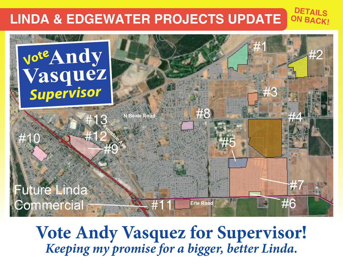#### **LINDA & EDGEWATER PROJECTS UPDATE ON BACK!**

**DETAILS** 



**Vote Andy Vasquez for Supervisor!** *Keeping my promise for a bigger, better Linda.*